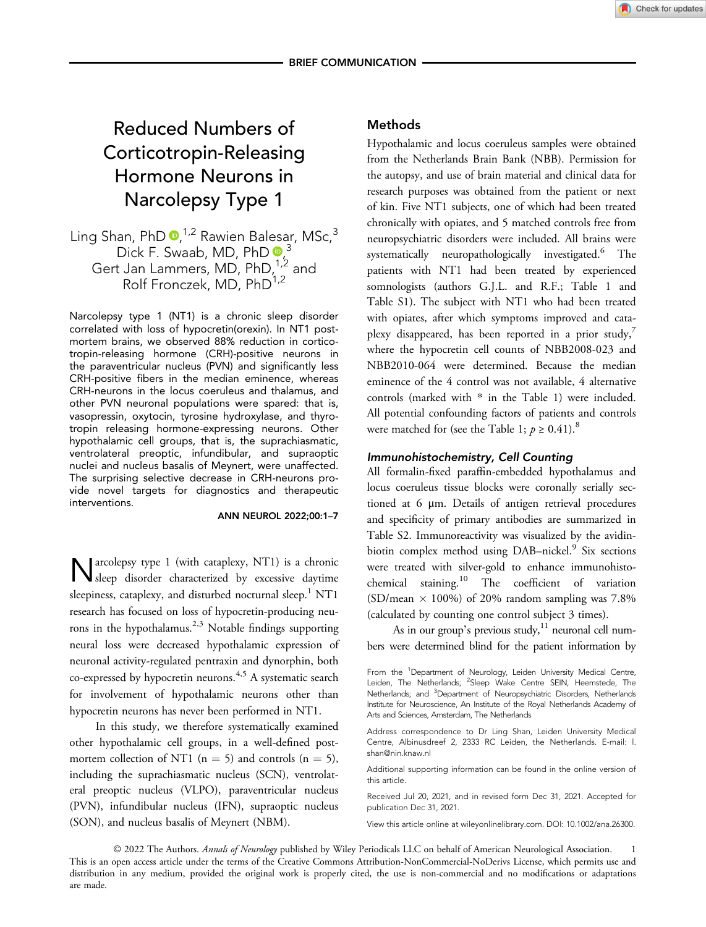# Reduced Numbers of Corticotropin-Releasing Hormone Neurons in Narcolepsy Type 1

Ling Shan, PhD <sup>0,1,2</sup> Rawien Balesar, MSc,<sup>3</sup> Dick F. Swaab, MD, PhD  $\frac{1}{2}$ Gert Jan Lammers, MD,  $PhD^{1,2}_{1,2}$  and Rolf Fronczek, MD, PhD<sup>1,2</sup>

Narcolepsy type 1 (NT1) is a chronic sleep disorder correlated with loss of hypocretin(orexin). In NT1 postmortem brains, we observed 88% reduction in corticotropin-releasing hormone (CRH)-positive neurons in the paraventricular nucleus (PVN) and significantly less CRH-positive fibers in the median eminence, whereas CRH-neurons in the locus coeruleus and thalamus, and other PVN neuronal populations were spared: that is, vasopressin, oxytocin, tyrosine hydroxylase, and thyrotropin releasing hormone-expressing neurons. Other hypothalamic cell groups, that is, the suprachiasmatic, ventrolateral preoptic, infundibular, and supraoptic nuclei and nucleus basalis of Meynert, were unaffected. The surprising selective decrease in CRH-neurons provide novel targets for diagnostics and therapeutic interventions.

#### ANN NEUROL 2022;00:1–7

Narcolepsy type 1 (with cataplexy, NT1) is a chronic sleep disorder characterized by excessive daytime sleepiness, cataplexy, and disturbed nocturnal sleep.<sup>1</sup> NT1 research has focused on loss of hypocretin-producing neurons in the hypothalamus.<sup>2,3</sup> Notable findings supporting neural loss were decreased hypothalamic expression of neuronal activity-regulated pentraxin and dynorphin, both co-expressed by hypocretin neurons.<sup>4,5</sup> A systematic search for involvement of hypothalamic neurons other than hypocretin neurons has never been performed in NT1.

In this study, we therefore systematically examined other hypothalamic cell groups, in a well-defined postmortem collection of NT1 ( $n = 5$ ) and controls ( $n = 5$ ), including the suprachiasmatic nucleus (SCN), ventrolateral preoptic nucleus (VLPO), paraventricular nucleus (PVN), infundibular nucleus (IFN), supraoptic nucleus (SON), and nucleus basalis of Meynert (NBM).

## Methods

Hypothalamic and locus coeruleus samples were obtained from the Netherlands Brain Bank (NBB). Permission for the autopsy, and use of brain material and clinical data for research purposes was obtained from the patient or next of kin. Five NT1 subjects, one of which had been treated chronically with opiates, and 5 matched controls free from neuropsychiatric disorders were included. All brains were systematically neuropathologically investigated.<sup>6</sup> The patients with NT1 had been treated by experienced somnologists (authors G.J.L. and R.F.; Table 1 and Table S1). The subject with NT1 who had been treated with opiates, after which symptoms improved and cataplexy disappeared, has been reported in a prior study, $^7$ where the hypocretin cell counts of NBB2008-023 and NBB2010-064 were determined. Because the median eminence of the 4 control was not available, 4 alternative controls (marked with \* in the Table 1) were included. All potential confounding factors of patients and controls were matched for (see the Table 1;  $p \ge 0.41$ ).<sup>8</sup>

## Immunohistochemistry, Cell Counting

All formalin-fixed paraffin-embedded hypothalamus and locus coeruleus tissue blocks were coronally serially sectioned at 6 μm. Details of antigen retrieval procedures and specificity of primary antibodies are summarized in Table S2. Immunoreactivity was visualized by the avidinbiotin complex method using DAB-nickel.<sup>9</sup> Six sections were treated with silver-gold to enhance immunohistochemical staining.<sup>10</sup> The coefficient of variation (SD/mean  $\times$  100%) of 20% random sampling was 7.8% (calculated by counting one control subject 3 times).

As in our group's previous study, $11$  neuronal cell numbers were determined blind for the patient information by

Address correspondence to Dr Ling Shan, Leiden University Medical Centre, Albinusdreef 2, 2333 RC Leiden, the Netherlands. E-mail: [l.](mailto:l.shan@nin.knaw.nl) [shan@nin.knaw.nl](mailto:l.shan@nin.knaw.nl)

Additional supporting information can be found in the online version of this article.

Received Jul 20, 2021, and in revised form Dec 31, 2021. Accepted for publication Dec 31, 2021.

View this article online at wileyonlinelibrary.com. DOI: 10.1002/ana.26300.

© 2022 The Authors. Annals of Neurology published by Wiley Periodicals LLC on behalf of American Neurological Association. 1 This is an open access article under the terms of the [Creative Commons Attribution-NonCommercial-NoDerivs](http://creativecommons.org/licenses/by-nc-nd/4.0/) License, which permits use and distribution in any medium, provided the original work is properly cited, the use is non-commercial and no modifications or adaptations are made.

From the <sup>1</sup>Department of Neurology, Leiden University Medical Centre, Leiden, The Netherlands; <sup>2</sup>Sleep Wake Centre SEIN, Heemstede, The Netherlands; and <sup>3</sup>Department of Neuropsychiatric Disorders, Netherlands Institute for Neuroscience, An Institute of the Royal Netherlands Academy of Arts and Sciences, Amsterdam, The Netherlands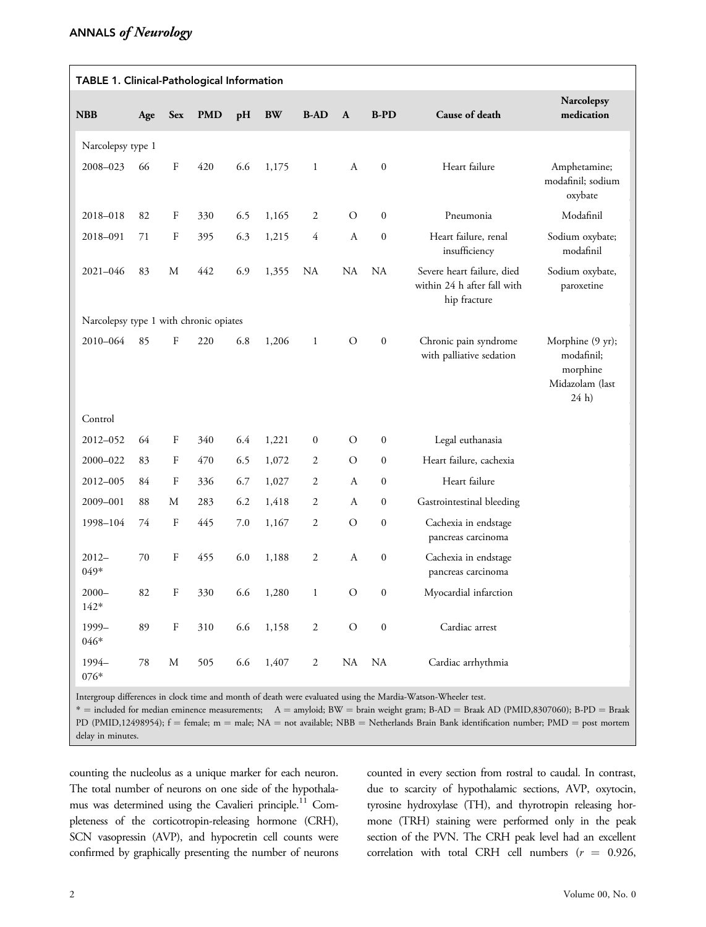| TABLE 1. Clinical-Pathological Information |        |              |            |     |           |                  |                  |                  |                                                                           |                                                                                  |
|--------------------------------------------|--------|--------------|------------|-----|-----------|------------------|------------------|------------------|---------------------------------------------------------------------------|----------------------------------------------------------------------------------|
| <b>NBB</b>                                 | Age    | <b>Sex</b>   | <b>PMD</b> | pH  | <b>BW</b> | <b>B-AD</b>      | A                | $B-PD$           | Cause of death                                                            | Narcolepsy<br>medication                                                         |
| Narcolepsy type 1                          |        |              |            |     |           |                  |                  |                  |                                                                           |                                                                                  |
| 2008-023                                   | 66     | F            | 420        | 6.6 | 1,175     | $\mathbf{1}$     | $\boldsymbol{A}$ | $\boldsymbol{0}$ | Heart failure                                                             | Amphetamine;<br>modafinil; sodium<br>oxybate                                     |
| 2018-018                                   | 82     | F            | 330        | 6.5 | 1,165     | 2                | $\mathcal{O}$    | $\mathbf{0}$     | Pneumonia                                                                 | Modafinil                                                                        |
| 2018-091                                   | 71     | F            | 395        | 6.3 | 1,215     | $\overline{4}$   | $\boldsymbol{A}$ | $\boldsymbol{0}$ | Heart failure, renal<br>insufficiency                                     | Sodium oxybate;<br>modafinil                                                     |
| 2021-046                                   | 83     | M            | 442        | 6.9 | 1,355     | NA               | <b>NA</b>        | <b>NA</b>        | Severe heart failure, died<br>within 24 h after fall with<br>hip fracture | Sodium oxybate,<br>paroxetine                                                    |
| Narcolepsy type 1 with chronic opiates     |        |              |            |     |           |                  |                  |                  |                                                                           |                                                                                  |
| 2010-064                                   | 85     | F            | 220        | 6.8 | 1,206     | $\mathbf{1}$     | $\mathcal O$     | $\boldsymbol{0}$ | Chronic pain syndrome<br>with palliative sedation                         | Morphine (9 yr);<br>modafinil;<br>morphine<br>Midazolam (last<br>24 <sub>h</sub> |
| Control                                    |        |              |            |     |           |                  |                  |                  |                                                                           |                                                                                  |
| 2012-052                                   | 64     | F            | 340        | 6.4 | 1,221     | $\mathbf{0}$     | $\mathcal{O}$    | $\boldsymbol{0}$ | Legal euthanasia                                                          |                                                                                  |
| 2000-022                                   | 83     | F            | 470        | 6.5 | 1,072     | $\overline{2}$   | $\circ$          | $\mathbf{0}$     | Heart failure, cachexia                                                   |                                                                                  |
| 2012-005                                   | 84     | $\mathbf F$  | 336        | 6.7 | 1,027     | $\mathfrak{2}$   | $\boldsymbol{A}$ | $\boldsymbol{0}$ | Heart failure                                                             |                                                                                  |
| 2009-001                                   | 88     | М            | 283        | 6.2 | 1,418     | $\mathfrak{2}$   | $\boldsymbol{A}$ | $\mathbf{0}$     | Gastrointestinal bleeding                                                 |                                                                                  |
| 1998-104                                   | 74     | $\rm F$      | 445        | 7.0 | 1,167     | $\boldsymbol{2}$ | $\circ$          | $\boldsymbol{0}$ | Cachexia in endstage<br>pancreas carcinoma                                |                                                                                  |
| $2012 -$<br>049*                           | 70     | $\mathbf{F}$ | 455        | 6.0 | 1,188     | $\boldsymbol{2}$ | $\boldsymbol{A}$ | $\boldsymbol{0}$ | Cachexia in endstage<br>pancreas carcinoma                                |                                                                                  |
| $2000 -$<br>$142*$                         | 82     | F            | 330        | 6.6 | 1,280     | $\mathbf{1}$     | $\circ$          | $\boldsymbol{0}$ | Myocardial infarction                                                     |                                                                                  |
| 1999-<br>046*                              | 89     | ${\bf F}$    | 310        | 6.6 | 1,158     | $\sqrt{2}$       | $\rm{O}$         | $\boldsymbol{0}$ | Cardiac arrest                                                            |                                                                                  |
| 1994-<br>076*                              | $78\,$ | $\mathbf M$  | 505        | 6.6 | 1,407     | $\sqrt{2}$       | NA               | <b>NA</b>        | Cardiac arrhythmia                                                        |                                                                                  |

Intergroup differences in clock time and month of death were evaluated using the Mardia-Watson-Wheeler test.

\* = included for median eminence measurements; A = amyloid; BW = brain weight gram; B-AD = Braak AD (PMID,8307060); B-PD = Braak PD (PMID,12498954); f = female; m = male; NA = not available; NBB = Netherlands Brain Bank identification number; PMD = post mortem delay in minutes.

counting the nucleolus as a unique marker for each neuron. The total number of neurons on one side of the hypothalamus was determined using the Cavalieri principle.<sup>11</sup> Completeness of the corticotropin-releasing hormone (CRH), SCN vasopressin (AVP), and hypocretin cell counts were confirmed by graphically presenting the number of neurons counted in every section from rostral to caudal. In contrast, due to scarcity of hypothalamic sections, AVP, oxytocin, tyrosine hydroxylase (TH), and thyrotropin releasing hormone (TRH) staining were performed only in the peak section of the PVN. The CRH peak level had an excellent correlation with total CRH cell numbers ( $r = 0.926$ ,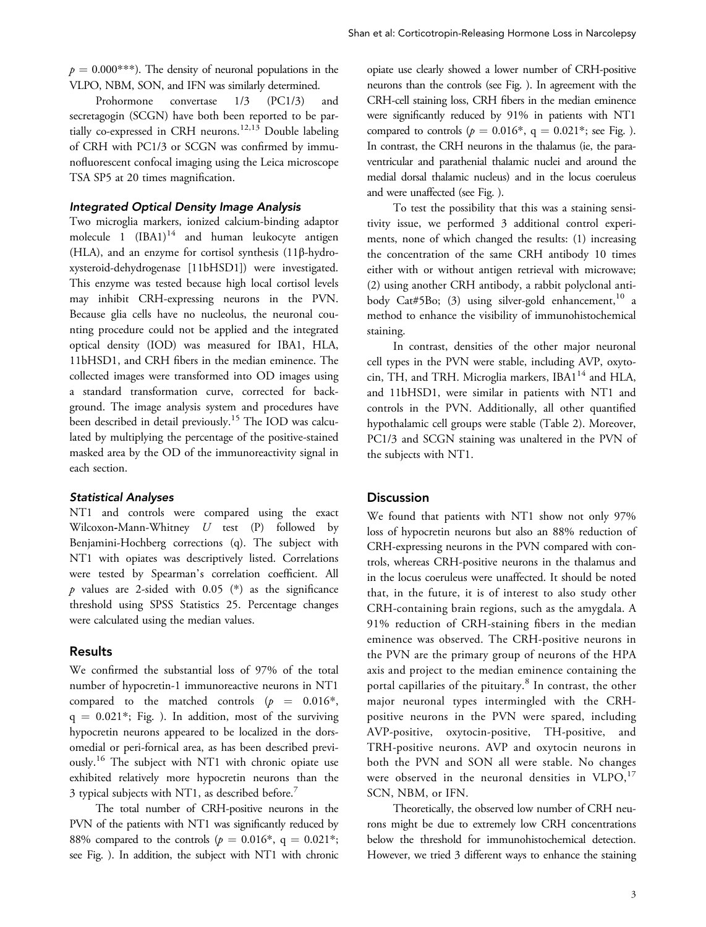$p = 0.000$ <sup>\*\*\*</sup>). The density of neuronal populations in the VLPO, NBM, SON, and IFN was similarly determined.

Prohormone convertase 1/3 (PC1/3) and secretagogin (SCGN) have both been reported to be partially co-expressed in CRH neurons.<sup>12,13</sup> Double labeling of CRH with PC1/3 or SCGN was confirmed by immunofluorescent confocal imaging using the Leica microscope TSA SP5 at 20 times magnification.

## Integrated Optical Density Image Analysis

Two microglia markers, ionized calcium-binding adaptor molecule 1  $(IBA1)^{14}$  and human leukocyte antigen (HLA), and an enzyme for cortisol synthesis (11β-hydroxysteroid-dehydrogenase [11bHSD1]) were investigated. This enzyme was tested because high local cortisol levels may inhibit CRH-expressing neurons in the PVN. Because glia cells have no nucleolus, the neuronal counting procedure could not be applied and the integrated optical density (IOD) was measured for IBA1, HLA, 11bHSD1, and CRH fibers in the median eminence. The collected images were transformed into OD images using a standard transformation curve, corrected for background. The image analysis system and procedures have been described in detail previously.<sup>15</sup> The IOD was calculated by multiplying the percentage of the positive-stained masked area by the OD of the immunoreactivity signal in each section.

#### Statistical Analyses

NT1 and controls were compared using the exact Wilcoxon-Mann-Whitney U test (P) followed by Benjamini-Hochberg corrections (q). The subject with NT1 with opiates was descriptively listed. Correlations were tested by Spearman's correlation coefficient. All  $p$  values are 2-sided with 0.05 (\*) as the significance threshold using SPSS Statistics 25. Percentage changes were calculated using the median values.

#### Results

We confirmed the substantial loss of 97% of the total number of hypocretin-1 immunoreactive neurons in NT1 compared to the matched controls  $(p = 0.016^*)$ ,  $q = 0.021$ <sup>\*</sup>; Fig. ). In addition, most of the surviving hypocretin neurons appeared to be localized in the dorsomedial or peri-fornical area, as has been described previously.<sup>16</sup> The subject with NT1 with chronic opiate use exhibited relatively more hypocretin neurons than the 3 typical subjects with NT1, as described before.<sup>7</sup>

The total number of CRH-positive neurons in the PVN of the patients with NT1 was significantly reduced by 88% compared to the controls ( $p = 0.016$ <sup>\*</sup>, q = 0.021<sup>\*</sup>; see Fig. ). In addition, the subject with NT1 with chronic opiate use clearly showed a lower number of CRH-positive neurons than the controls (see Fig. ). In agreement with the CRH-cell staining loss, CRH fibers in the median eminence were significantly reduced by 91% in patients with NT1 compared to controls ( $p = 0.016^*$ , q = 0.021<sup>\*</sup>; see Fig. ). In contrast, the CRH neurons in the thalamus (ie, the paraventricular and parathenial thalamic nuclei and around the medial dorsal thalamic nucleus) and in the locus coeruleus and were unaffected (see Fig. ).

To test the possibility that this was a staining sensitivity issue, we performed 3 additional control experiments, none of which changed the results: (1) increasing the concentration of the same CRH antibody 10 times either with or without antigen retrieval with microwave; (2) using another CRH antibody, a rabbit polyclonal antibody Cat#5Bo; (3) using silver-gold enhancement,  $10^{\circ}$  a method to enhance the visibility of immunohistochemical staining.

In contrast, densities of the other major neuronal cell types in the PVN were stable, including AVP, oxytocin, TH, and TRH. Microglia markers,  $IBA1<sup>14</sup>$  and HLA, and 11bHSD1, were similar in patients with NT1 and controls in the PVN. Additionally, all other quantified hypothalamic cell groups were stable (Table 2). Moreover, PC1/3 and SCGN staining was unaltered in the PVN of the subjects with NT1.

#### **Discussion**

We found that patients with NT1 show not only 97% loss of hypocretin neurons but also an 88% reduction of CRH-expressing neurons in the PVN compared with controls, whereas CRH-positive neurons in the thalamus and in the locus coeruleus were unaffected. It should be noted that, in the future, it is of interest to also study other CRH-containing brain regions, such as the amygdala. A 91% reduction of CRH-staining fibers in the median eminence was observed. The CRH-positive neurons in the PVN are the primary group of neurons of the HPA axis and project to the median eminence containing the portal capillaries of the pituitary.<sup>8</sup> In contrast, the other major neuronal types intermingled with the CRHpositive neurons in the PVN were spared, including AVP-positive, oxytocin-positive, TH-positive, and TRH-positive neurons. AVP and oxytocin neurons in both the PVN and SON all were stable. No changes were observed in the neuronal densities in  $VLPO<sub>1</sub><sup>17</sup>$ SCN, NBM, or IFN.

Theoretically, the observed low number of CRH neurons might be due to extremely low CRH concentrations below the threshold for immunohistochemical detection. However, we tried 3 different ways to enhance the staining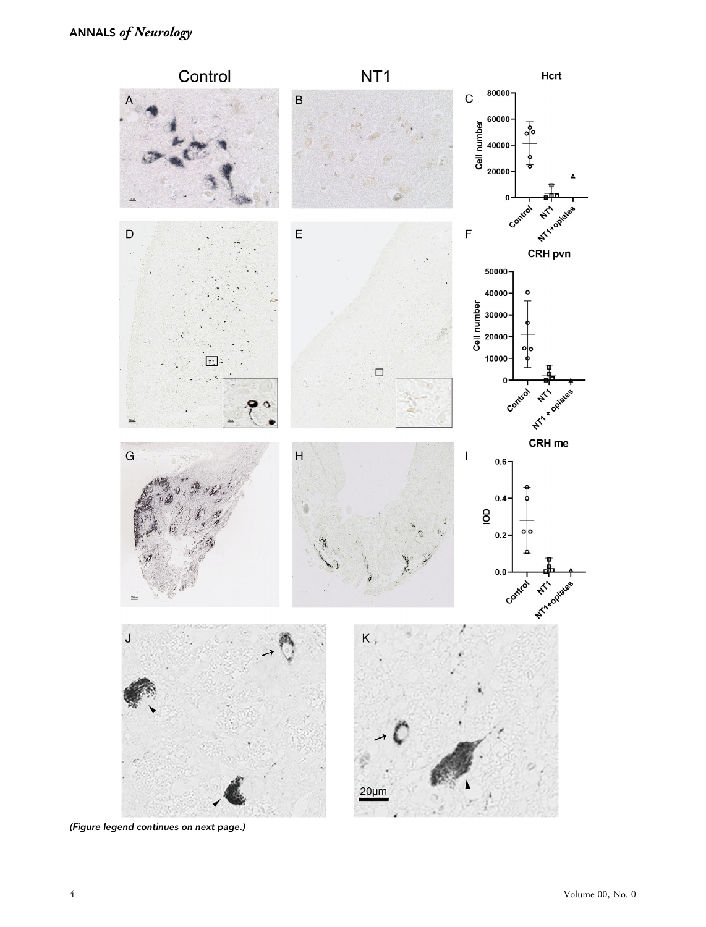

(Figure legend continues on next page.)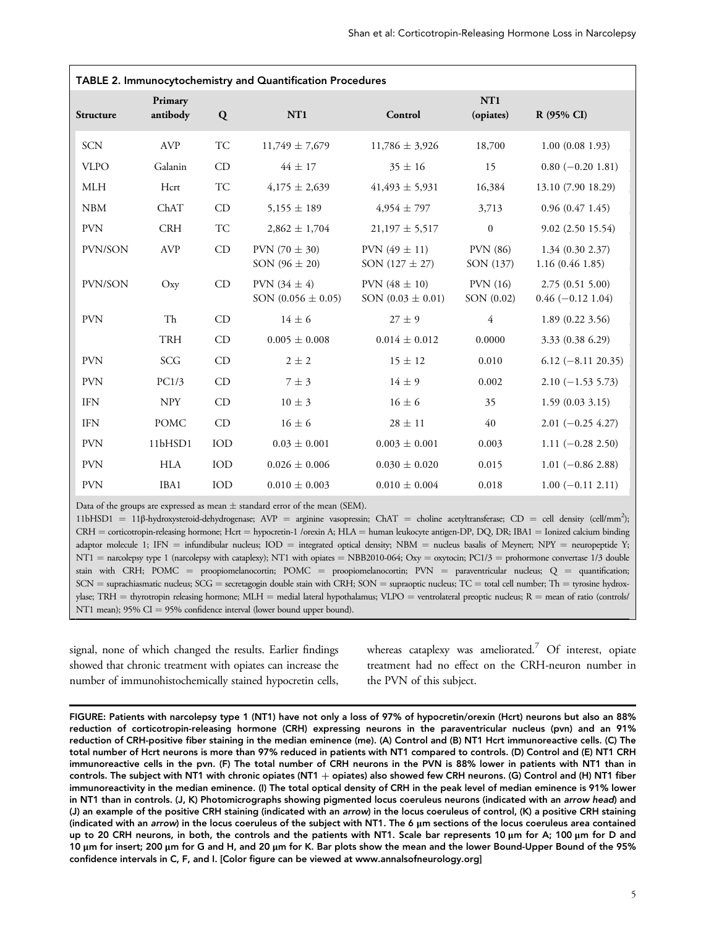| TABLE 2. Immunocytochemistry and Quantification Procedures |                     |     |                                            |                                            |                              |                                       |  |  |  |
|------------------------------------------------------------|---------------------|-----|--------------------------------------------|--------------------------------------------|------------------------------|---------------------------------------|--|--|--|
| Structure                                                  | Primary<br>antibody | Q   | NT <sub>1</sub>                            | Control                                    | NT <sub>1</sub><br>(opiates) | R (95% CI)                            |  |  |  |
| <b>SCN</b>                                                 | <b>AVP</b>          | TC  | $11,749 \pm 7,679$                         | $11,786 \pm 3,926$                         | 18,700                       | 1.00(0.081.93)                        |  |  |  |
| <b>VLPO</b>                                                | Galanin             | CD  | $44 \pm 17$                                | $35 \pm 16$                                | 15                           | $0.80 (-0.20 1.81)$                   |  |  |  |
| <b>MLH</b>                                                 | Hcrt                | TC  | $4,175 \pm 2,639$                          | $41,493 \pm 5,931$                         | 16,384                       | 13.10 (7.90 18.29)                    |  |  |  |
| <b>NBM</b>                                                 | ChAT                | CD  | $5,155 \pm 189$                            | $4,954 \pm 797$                            | 3,713                        | 0.96(0.471.45)                        |  |  |  |
| <b>PVN</b>                                                 | CRH                 | TC  | $2,862 \pm 1,704$                          | $21,197 \pm 5,517$                         | $\boldsymbol{0}$             | 9.02(2.5015.54)                       |  |  |  |
| PVN/SON                                                    | <b>AVP</b>          | CD  | PVN $(70 \pm 30)$<br>SON $(96 \pm 20)$     | PVN $(49 \pm 11)$<br>SON $(127 \pm 27)$    | <b>PVN</b> (86)<br>SON (137) | 1.34(0.302.37)<br>1.16(0.461.85)      |  |  |  |
| PVN/SON                                                    | Oxy                 | CD  | PVN $(34 \pm 4)$<br>SON $(0.056 \pm 0.05)$ | PVN $(48 \pm 10)$<br>SON $(0.03 \pm 0.01)$ | PVN(16)<br>SON (0.02)        | 2.75(0.515.00)<br>$0.46 (-0.12 1.04)$ |  |  |  |
| <b>PVN</b>                                                 | Th                  | CD  | $14 \pm 6$                                 | $27 \pm 9$                                 | $\overline{4}$               | 1.89(0.223.56)                        |  |  |  |
|                                                            | TRH                 | CD  | $0.005 \pm 0.008$                          | $0.014 \pm 0.012$                          | 0.0000                       | 3.33 (0.38 6.29)                      |  |  |  |
| <b>PVN</b>                                                 | SCG                 | CD  | $2 \pm 2$                                  | $15 \pm 12$                                | 0.010                        | $6.12 (-8.11 20.35)$                  |  |  |  |
| <b>PVN</b>                                                 | PC1/3               | CD  | $7 \pm 3$                                  | $14 \pm 9$                                 | 0.002                        | $2.10 (-1.53 5.73)$                   |  |  |  |
| <b>IFN</b>                                                 | <b>NPY</b>          | CD  | $10 \pm 3$                                 | $16 \pm 6$                                 | 35                           | 1.59(0.033.15)                        |  |  |  |
| <b>IFN</b>                                                 | <b>POMC</b>         | CD  | $16 \pm 6$                                 | $28 \pm 11$                                | 40                           | $2.01 (-0.25 4.27)$                   |  |  |  |
| <b>PVN</b>                                                 | 11bHSD1             | IOD | $0.03 \pm 0.001$                           | $0.003 \pm 0.001$                          | 0.003                        | $1.11 (-0.28 2.50)$                   |  |  |  |
| <b>PVN</b>                                                 | <b>HLA</b>          | IOD | $0.026 \pm 0.006$                          | $0.030 \pm 0.020$                          | 0.015                        | $1.01 (-0.86 2.88)$                   |  |  |  |
| <b>PVN</b>                                                 | IBA1                | IOD | $0.010 \pm 0.003$                          | $0.010 \pm 0.004$                          | 0.018                        | $1.00 (-0.11 2.11)$                   |  |  |  |

Data of the groups are expressed as mean  $\pm$  standard error of the mean (SEM).

11bHSD1 = 11β-hydroxysteroid-dehydrogenase; AVP = arginine vasopressin; ChAT = choline acetyltransferase; CD = cell density (cell/mm2 ); CRH = corticotropin-releasing hormone; Hcrt = hypocretin-1 /orexin A; HLA = human leukocyte antigen-DP, DQ, DR; IBA1 = Ionized calcium binding adaptor molecule 1; IFN = infundibular nucleus; IOD = integrated optical density; NBM = nucleus basalis of Meynert; NPY = neuropeptide Y; NT1 = narcolepsy type 1 (narcolepsy with cataplexy); NT1 with opiates = NBB2010-064; Oxy = oxytocin; PC1/3 = prohormone convertase 1/3 double stain with CRH; POMC = proopiomelanocortin; POMC = proopiomelanocortin; PVN = paraventricular nucleus; Q = quantification;  $SCN =$  suprachiasmatic nucleus;  $SCG =$  secretagogin double stain with CRH;  $SON =$  supraoptic nucleus;  $TC =$  total cell number;  $Th =$  tyrosine hydroxylase; TRH = thyrotropin releasing hormone; MLH = medial lateral hypothalamus; VLPO = ventrolateral preoptic nucleus; R = mean of ratio (controls/ NT1 mean); 95% CI = 95% confidence interval (lower bound upper bound).

signal, none of which changed the results. Earlier findings showed that chronic treatment with opiates can increase the number of immunohistochemically stained hypocretin cells,

whereas cataplexy was ameliorated.<sup>7</sup> Of interest, opiate treatment had no effect on the CRH-neuron number in the PVN of this subject.

FIGURE: Patients with narcolepsy type 1 (NT1) have not only a loss of 97% of hypocretin/orexin (Hcrt) neurons but also an 88% reduction of corticotropin-releasing hormone (CRH) expressing neurons in the paraventricular nucleus (pvn) and an 91% reduction of CRH-positive fiber staining in the median eminence (me). (A) Control and (B) NT1 Hcrt immunoreactive cells. (C) The total number of Hcrt neurons is more than 97% reduced in patients with NT1 compared to controls. (D) Control and (E) NT1 CRH immunoreactive cells in the pvn. (F) The total number of CRH neurons in the PVN is 88% lower in patients with NT1 than in controls. The subject with NT1 with chronic opiates (NT1 + opiates) also showed few CRH neurons. (G) Control and (H) NT1 fiber immunoreactivity in the median eminence. (I) The total optical density of CRH in the peak level of median eminence is 91% lower in NT1 than in controls. (J, K) Photomicrographs showing pigmented locus coeruleus neurons (indicated with an arrow head) and (J) an example of the positive CRH staining (indicated with an arrow) in the locus coeruleus of control, (K) a positive CRH staining (indicated with an arrow) in the locus coeruleus of the subject with NT1. The 6 μm sections of the locus coeruleus area contained up to 20 CRH neurons, in both, the controls and the patients with NT1. Scale bar represents 10 μm for A; 100 μm for D and 10 μm for insert; 200 μm for G and H, and 20 μm for K. Bar plots show the mean and the lower Bound-Upper Bound of the 95% confidence intervals in C, F, and I. [Color figure can be viewed at [www.annalsofneurology.org](http://www.annalsofneurology.org)]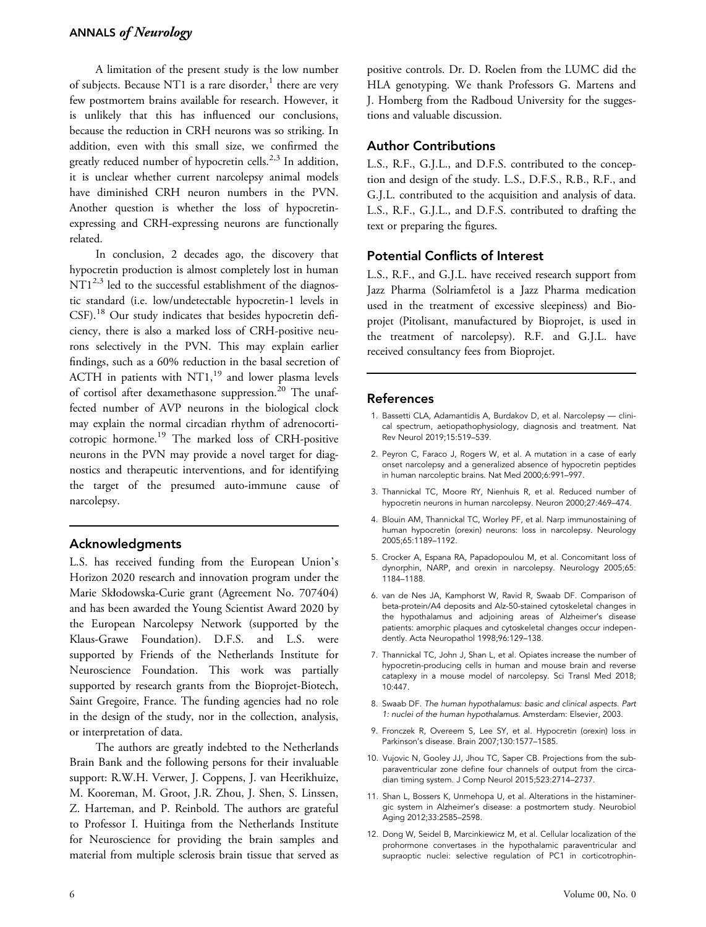# ANNALS of Neurology

A limitation of the present study is the low number of subjects. Because NT1 is a rare disorder, $<sup>1</sup>$  there are very</sup> few postmortem brains available for research. However, it is unlikely that this has influenced our conclusions, because the reduction in CRH neurons was so striking. In addition, even with this small size, we confirmed the greatly reduced number of hypocretin cells.<sup>2,3</sup> In addition, it is unclear whether current narcolepsy animal models have diminished CRH neuron numbers in the PVN. Another question is whether the loss of hypocretinexpressing and CRH-expressing neurons are functionally related.

In conclusion, 2 decades ago, the discovery that hypocretin production is almost completely lost in human  $NT1^{2,3}$  led to the successful establishment of the diagnostic standard (i.e. low/undetectable hypocretin-1 levels in CSF).<sup>18</sup> Our study indicates that besides hypocretin deficiency, there is also a marked loss of CRH-positive neurons selectively in the PVN. This may explain earlier findings, such as a 60% reduction in the basal secretion of ACTH in patients with  $NT1$ ,<sup>19</sup> and lower plasma levels of cortisol after dexamethasone suppression.<sup>20</sup> The unaffected number of AVP neurons in the biological clock may explain the normal circadian rhythm of adrenocorticotropic hormone.<sup>19</sup> The marked loss of CRH-positive neurons in the PVN may provide a novel target for diagnostics and therapeutic interventions, and for identifying the target of the presumed auto-immune cause of narcolepsy.

## Acknowledgments

L.S. has received funding from the European Union's Horizon 2020 research and innovation program under the Marie Skłodowska-Curie grant (Agreement No. 707404) and has been awarded the Young Scientist Award 2020 by the European Narcolepsy Network (supported by the Klaus-Grawe Foundation). D.F.S. and L.S. were supported by Friends of the Netherlands Institute for Neuroscience Foundation. This work was partially supported by research grants from the Bioprojet-Biotech, Saint Gregoire, France. The funding agencies had no role in the design of the study, nor in the collection, analysis, or interpretation of data.

The authors are greatly indebted to the Netherlands Brain Bank and the following persons for their invaluable support: R.W.H. Verwer, J. Coppens, J. van Heerikhuize, M. Kooreman, M. Groot, J.R. Zhou, J. Shen, S. Linssen, Z. Harteman, and P. Reinbold. The authors are grateful to Professor I. Huitinga from the Netherlands Institute for Neuroscience for providing the brain samples and material from multiple sclerosis brain tissue that served as

positive controls. Dr. D. Roelen from the LUMC did the HLA genotyping. We thank Professors G. Martens and J. Homberg from the Radboud University for the suggestions and valuable discussion.

## Author Contributions

L.S., R.F., G.J.L., and D.F.S. contributed to the conception and design of the study. L.S., D.F.S., R.B., R.F., and G.J.L. contributed to the acquisition and analysis of data. L.S., R.F., G.J.L., and D.F.S. contributed to drafting the text or preparing the figures.

# Potential Conflicts of Interest

L.S., R.F., and G.J.L. have received research support from Jazz Pharma (Solriamfetol is a Jazz Pharma medication used in the treatment of excessive sleepiness) and Bioprojet (Pitolisant, manufactured by Bioprojet, is used in the treatment of narcolepsy). R.F. and G.J.L. have received consultancy fees from Bioprojet.

#### References

- 1. Bassetti CLA, Adamantidis A, Burdakov D, et al. Narcolepsy clinical spectrum, aetiopathophysiology, diagnosis and treatment. Nat Rev Neurol 2019;15:519–539.
- 2. Peyron C, Faraco J, Rogers W, et al. A mutation in a case of early onset narcolepsy and a generalized absence of hypocretin peptides in human narcoleptic brains. Nat Med 2000;6:991–997.
- 3. Thannickal TC, Moore RY, Nienhuis R, et al. Reduced number of hypocretin neurons in human narcolepsy. Neuron 2000;27:469–474.
- 4. Blouin AM, Thannickal TC, Worley PF, et al. Narp immunostaining of human hypocretin (orexin) neurons: loss in narcolepsy. Neurology 2005;65:1189–1192.
- 5. Crocker A, Espana RA, Papadopoulou M, et al. Concomitant loss of dynorphin, NARP, and orexin in narcolepsy. Neurology 2005;65: 1184–1188.
- 6. van de Nes JA, Kamphorst W, Ravid R, Swaab DF. Comparison of beta-protein/A4 deposits and Alz-50-stained cytoskeletal changes in the hypothalamus and adjoining areas of Alzheimer's disease patients: amorphic plaques and cytoskeletal changes occur independently. Acta Neuropathol 1998;96:129–138.
- 7. Thannickal TC, John J, Shan L, et al. Opiates increase the number of hypocretin-producing cells in human and mouse brain and reverse cataplexy in a mouse model of narcolepsy. Sci Transl Med 2018; 10:447.
- 8. Swaab DF. The human hypothalamus: basic and clinical aspects. Part 1: nuclei of the human hypothalamus. Amsterdam: Elsevier, 2003.
- 9. Fronczek R, Overeem S, Lee SY, et al. Hypocretin (orexin) loss in Parkinson's disease. Brain 2007;130:1577–1585.
- 10. Vujovic N, Gooley JJ, Jhou TC, Saper CB. Projections from the subparaventricular zone define four channels of output from the circadian timing system. J Comp Neurol 2015;523:2714–2737.
- 11. Shan L, Bossers K, Unmehopa U, et al. Alterations in the histaminergic system in Alzheimer's disease: a postmortem study. Neurobiol Aging 2012;33:2585–2598.
- 12. Dong W, Seidel B, Marcinkiewicz M, et al. Cellular localization of the prohormone convertases in the hypothalamic paraventricular and supraoptic nuclei: selective regulation of PC1 in corticotrophin-